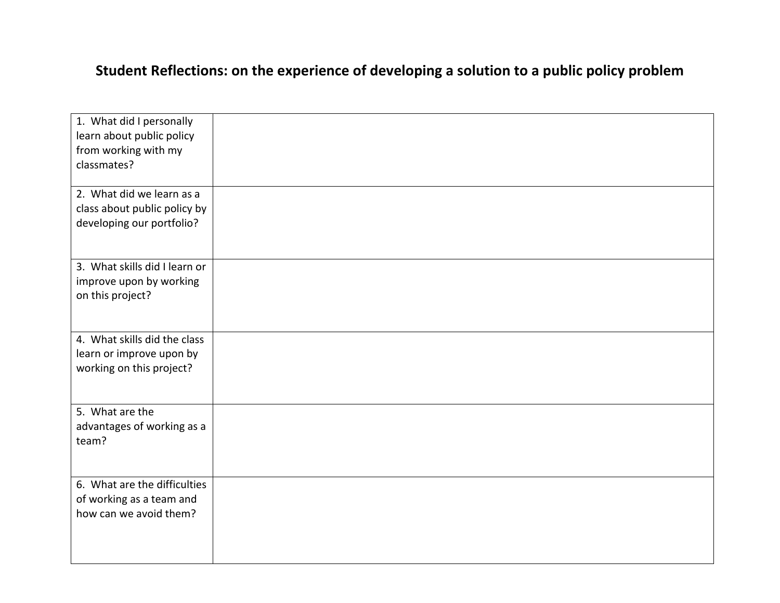## **Student Reflections: on the experience of developing a solution to a public policy problem**

| 1. What did I personally      |  |
|-------------------------------|--|
| learn about public policy     |  |
| from working with my          |  |
| classmates?                   |  |
|                               |  |
| 2. What did we learn as a     |  |
| class about public policy by  |  |
| developing our portfolio?     |  |
|                               |  |
|                               |  |
| 3. What skills did I learn or |  |
| improve upon by working       |  |
| on this project?              |  |
|                               |  |
|                               |  |
| 4. What skills did the class  |  |
| learn or improve upon by      |  |
| working on this project?      |  |
|                               |  |
|                               |  |
| 5. What are the               |  |
| advantages of working as a    |  |
| team?                         |  |
|                               |  |
|                               |  |
| 6. What are the difficulties  |  |
| of working as a team and      |  |
| how can we avoid them?        |  |
|                               |  |
|                               |  |
|                               |  |